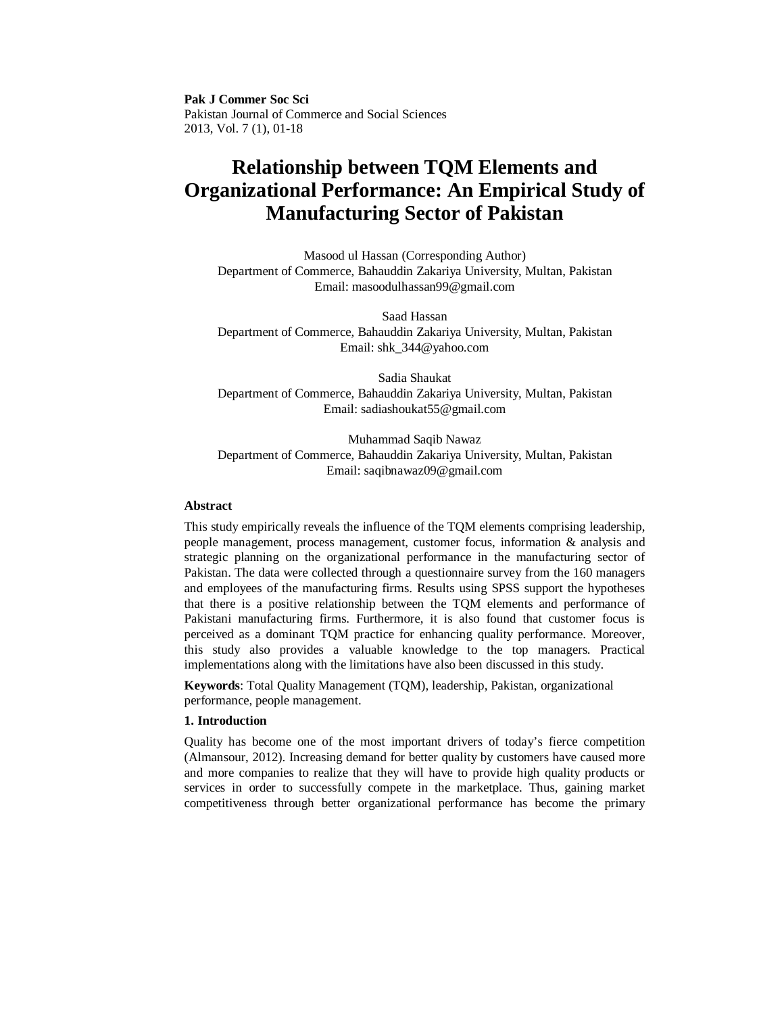**Pak J Commer Soc Sci** Pakistan Journal of Commerce and Social Sciences 2013, Vol. 7 (1), 01-18

# **Relationship between TQM Elements and Organizational Performance: An Empirical Study of Manufacturing Sector of Pakistan**

Masood ul Hassan (Corresponding Author) Department of Commerce, Bahauddin Zakariya University, Multan, Pakistan Email: masoodulhassan99@gmail.com

Saad Hassan Department of Commerce, Bahauddin Zakariya University, Multan, Pakistan Email: shk\_344@yahoo.com

Sadia Shaukat Department of Commerce, Bahauddin Zakariya University, Multan, Pakistan Email: sadiashoukat55@gmail.com

Muhammad Saqib Nawaz Department of Commerce, Bahauddin Zakariya University, Multan, Pakistan Email: saqibnawaz09@gmail.com

## **Abstract**

This study empirically reveals the influence of the TQM elements comprising leadership, people management, process management, customer focus, information & analysis and strategic planning on the organizational performance in the manufacturing sector of Pakistan. The data were collected through a questionnaire survey from the 160 managers and employees of the manufacturing firms. Results using SPSS support the hypotheses that there is a positive relationship between the TQM elements and performance of Pakistani manufacturing firms. Furthermore, it is also found that customer focus is perceived as a dominant TQM practice for enhancing quality performance. Moreover, this study also provides a valuable knowledge to the top managers. Practical implementations along with the limitations have also been discussed in this study.

**Keywords**: Total Quality Management (TQM), leadership, Pakistan, organizational performance, people management.

#### **1. Introduction**

Quality has become one of the most important drivers of today's fierce competition (Almansour, 2012). Increasing demand for better quality by customers have caused more and more companies to realize that they will have to provide high quality products or services in order to successfully compete in the marketplace. Thus, gaining market competitiveness through better organizational performance has become the primary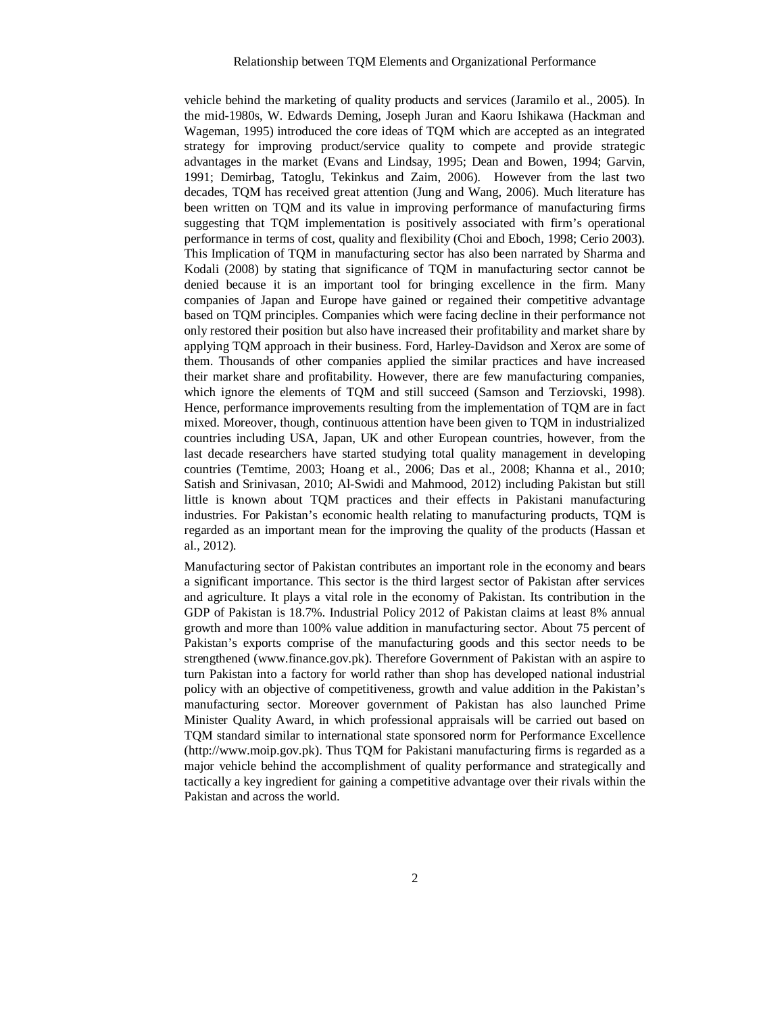vehicle behind the marketing of quality products and services (Jaramilo et al., 2005). In the mid-1980s, W. Edwards Deming, Joseph Juran and Kaoru Ishikawa (Hackman and Wageman, 1995) introduced the core ideas of TQM which are accepted as an integrated strategy for improving product/service quality to compete and provide strategic advantages in the market (Evans and Lindsay, 1995; Dean and Bowen, 1994; Garvin, 1991; Demirbag, Tatoglu, Tekinkus and Zaim, 2006). However from the last two decades, TQM has received great attention (Jung and Wang, 2006). Much literature has been written on TQM and its value in improving performance of manufacturing firms suggesting that TQM implementation is positively associated with firm's operational performance in terms of cost, quality and flexibility (Choi and Eboch, 1998; Cerio 2003). This Implication of TQM in manufacturing sector has also been narrated by Sharma and Kodali (2008) by stating that significance of TQM in manufacturing sector cannot be denied because it is an important tool for bringing excellence in the firm. Many companies of Japan and Europe have gained or regained their competitive advantage based on TQM principles. Companies which were facing decline in their performance not only restored their position but also have increased their profitability and market share by applying TQM approach in their business. Ford, Harley-Davidson and Xerox are some of them. Thousands of other companies applied the similar practices and have increased their market share and profitability. However, there are few manufacturing companies, which ignore the elements of TQM and still succeed (Samson and Terziovski, 1998). Hence, performance improvements resulting from the implementation of TQM are in fact mixed. Moreover, though, continuous attention have been given to TQM in industrialized countries including USA, Japan, UK and other European countries, however, from the last decade researchers have started studying total quality management in developing countries (Temtime, 2003; Hoang et al., 2006; Das et al., 2008; Khanna et al., 2010; Satish and Srinivasan, 2010; Al-Swidi and Mahmood, 2012) including Pakistan but still little is known about TQM practices and their effects in Pakistani manufacturing industries. For Pakistan's economic health relating to manufacturing products, TQM is regarded as an important mean for the improving the quality of the products (Hassan et al., 2012).

Manufacturing sector of Pakistan contributes an important role in the economy and bears a significant importance. This sector is the third largest sector of Pakistan after services and agriculture. It plays a vital role in the economy of Pakistan. Its contribution in the GDP of Pakistan is 18.7%. Industrial Policy 2012 of Pakistan claims at least 8% annual growth and more than 100% value addition in manufacturing sector. About 75 percent of Pakistan's exports comprise of the manufacturing goods and this sector needs to be strengthened (www.finance.gov.pk). Therefore Government of Pakistan with an aspire to turn Pakistan into a factory for world rather than shop has developed national industrial policy with an objective of competitiveness, growth and value addition in the Pakistan's manufacturing sector. Moreover government of Pakistan has also launched Prime Minister Quality Award, in which professional appraisals will be carried out based on TQM standard similar to international state sponsored norm for Performance Excellence (http://www.moip.gov.pk). Thus TQM for Pakistani manufacturing firms is regarded as a major vehicle behind the accomplishment of quality performance and strategically and tactically a key ingredient for gaining a competitive advantage over their rivals within the Pakistan and across the world.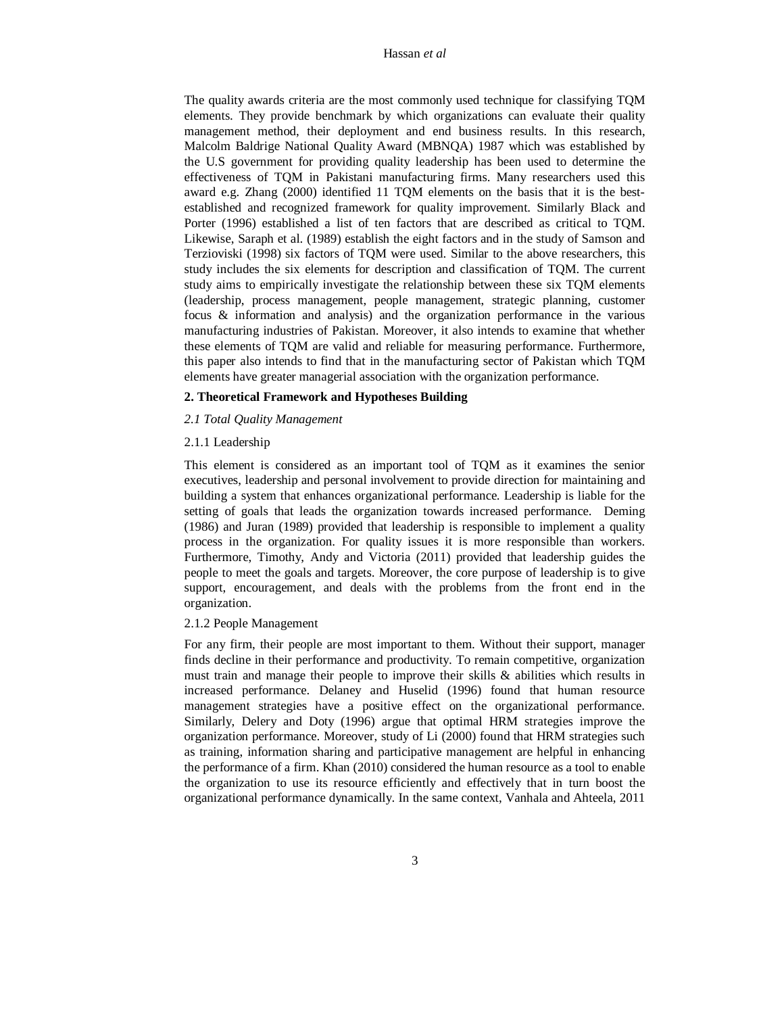The quality awards criteria are the most commonly used technique for classifying TQM elements. They provide benchmark by which organizations can evaluate their quality management method, their deployment and end business results. In this research, Malcolm Baldrige National Quality Award (MBNQA) 1987 which was established by the U.S government for providing quality leadership has been used to determine the effectiveness of TQM in Pakistani manufacturing firms. Many researchers used this award e.g. Zhang (2000) identified 11 TQM elements on the basis that it is the bestestablished and recognized framework for quality improvement. Similarly Black and Porter (1996) established a list of ten factors that are described as critical to TQM. Likewise, Saraph et al. (1989) establish the eight factors and in the study of Samson and Terzioviski (1998) six factors of TQM were used. Similar to the above researchers, this study includes the six elements for description and classification of TQM. The current study aims to empirically investigate the relationship between these six TQM elements (leadership, process management, people management, strategic planning, customer focus & information and analysis) and the organization performance in the various manufacturing industries of Pakistan. Moreover, it also intends to examine that whether these elements of TQM are valid and reliable for measuring performance. Furthermore, this paper also intends to find that in the manufacturing sector of Pakistan which TQM elements have greater managerial association with the organization performance.

#### **2. Theoretical Framework and Hypotheses Building**

#### *2.1 Total Quality Management*

## 2.1.1 Leadership

This element is considered as an important tool of TQM as it examines the senior executives, leadership and personal involvement to provide direction for maintaining and building a system that enhances organizational performance. Leadership is liable for the setting of goals that leads the organization towards increased performance. Deming (1986) and Juran (1989) provided that leadership is responsible to implement a quality process in the organization. For quality issues it is more responsible than workers. Furthermore, Timothy, Andy and Victoria (2011) provided that leadership guides the people to meet the goals and targets. Moreover, the core purpose of leadership is to give support, encouragement, and deals with the problems from the front end in the organization.

#### 2.1.2 People Management

For any firm, their people are most important to them. Without their support, manager finds decline in their performance and productivity. To remain competitive, organization must train and manage their people to improve their skills  $\&$  abilities which results in increased performance. Delaney and Huselid (1996) found that human resource management strategies have a positive effect on the organizational performance. Similarly, Delery and Doty (1996) argue that optimal HRM strategies improve the organization performance. Moreover, study of Li (2000) found that HRM strategies such as training, information sharing and participative management are helpful in enhancing the performance of a firm. Khan (2010) considered the human resource as a tool to enable the organization to use its resource efficiently and effectively that in turn boost the organizational performance dynamically. In the same context, Vanhala and Ahteela, 2011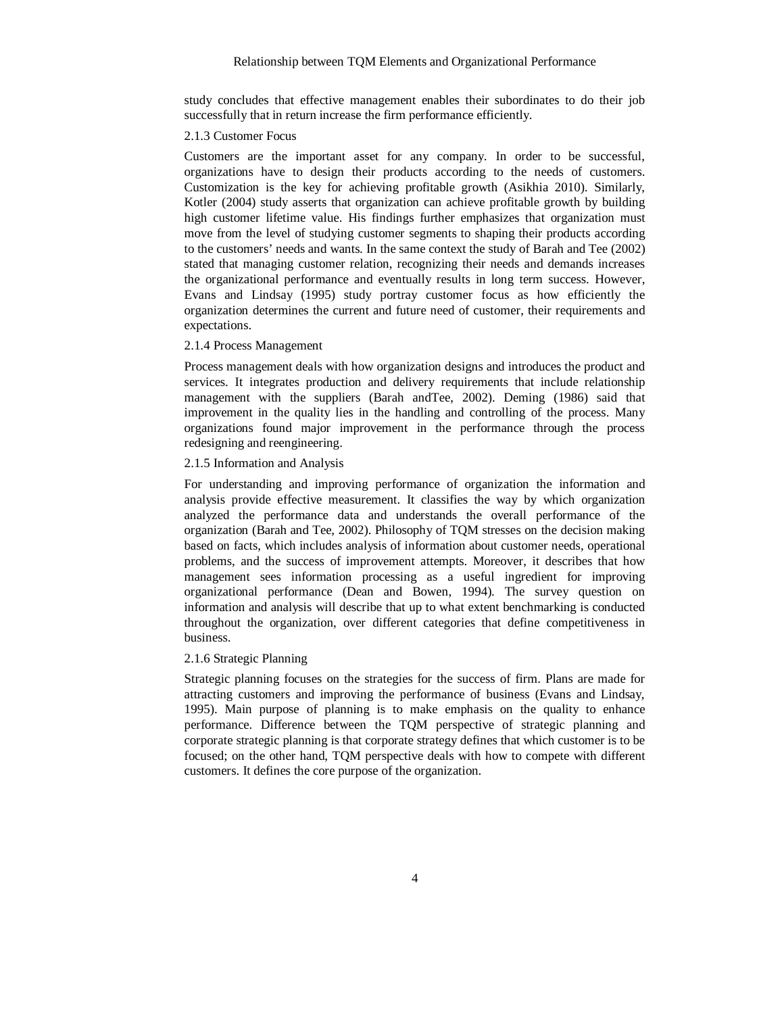study concludes that effective management enables their subordinates to do their job successfully that in return increase the firm performance efficiently.

#### 2.1.3 Customer Focus

Customers are the important asset for any company. In order to be successful, organizations have to design their products according to the needs of customers. Customization is the key for achieving profitable growth (Asikhia 2010). Similarly, Kotler (2004) study asserts that organization can achieve profitable growth by building high customer lifetime value. His findings further emphasizes that organization must move from the level of studying customer segments to shaping their products according to the customers' needs and wants. In the same context the study of Barah and Tee (2002) stated that managing customer relation, recognizing their needs and demands increases the organizational performance and eventually results in long term success. However, Evans and Lindsay (1995) study portray customer focus as how efficiently the organization determines the current and future need of customer, their requirements and expectations.

# 2.1.4 Process Management

Process management deals with how organization designs and introduces the product and services. It integrates production and delivery requirements that include relationship management with the suppliers (Barah andTee, 2002). Deming (1986) said that improvement in the quality lies in the handling and controlling of the process. Many organizations found major improvement in the performance through the process redesigning and reengineering.

# 2.1.5 Information and Analysis

For understanding and improving performance of organization the information and analysis provide effective measurement. It classifies the way by which organization analyzed the performance data and understands the overall performance of the organization (Barah and Tee, 2002). Philosophy of TQM stresses on the decision making based on facts, which includes analysis of information about customer needs, operational problems, and the success of improvement attempts. Moreover, it describes that how management sees information processing as a useful ingredient for improving organizational performance (Dean and Bowen, 1994). The survey question on information and analysis will describe that up to what extent benchmarking is conducted throughout the organization, over different categories that define competitiveness in business.

#### 2.1.6 Strategic Planning

Strategic planning focuses on the strategies for the success of firm. Plans are made for attracting customers and improving the performance of business (Evans and Lindsay, 1995). Main purpose of planning is to make emphasis on the quality to enhance performance. Difference between the TQM perspective of strategic planning and corporate strategic planning is that corporate strategy defines that which customer is to be focused; on the other hand, TQM perspective deals with how to compete with different customers. It defines the core purpose of the organization.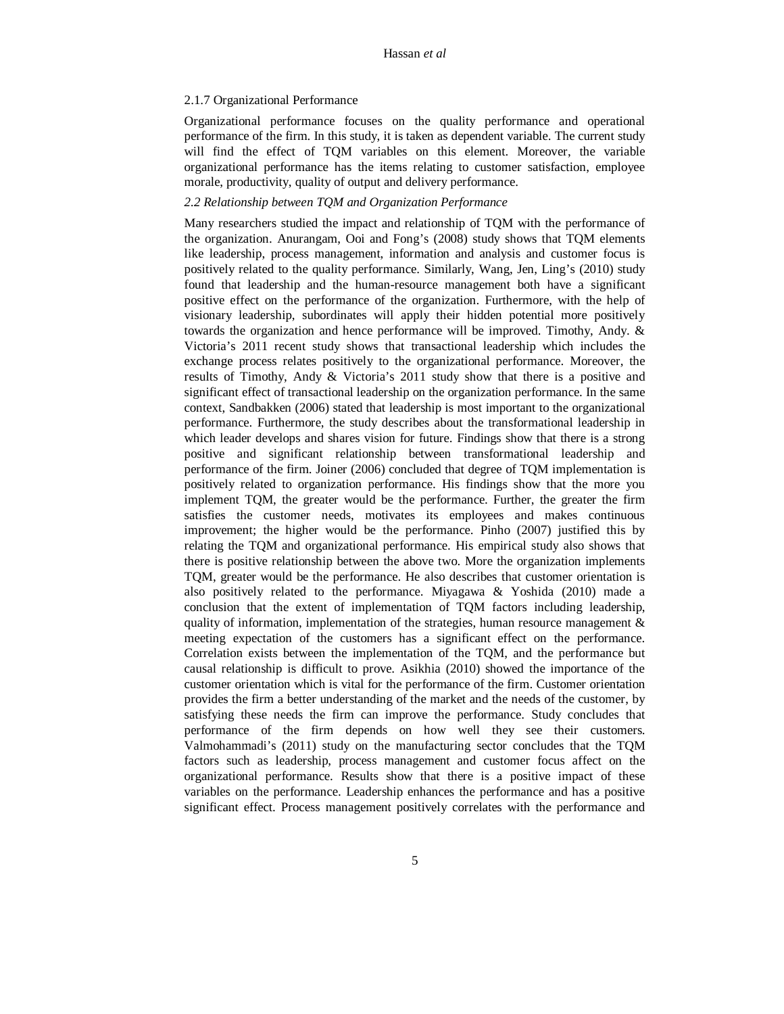#### 2.1.7 Organizational Performance

Organizational performance focuses on the quality performance and operational performance of the firm. In this study, it is taken as dependent variable. The current study will find the effect of TQM variables on this element. Moreover, the variable organizational performance has the items relating to customer satisfaction, employee morale, productivity, quality of output and delivery performance.

# *2.2 Relationship between TQM and Organization Performance*

Many researchers studied the impact and relationship of TQM with the performance of the organization. Anurangam, Ooi and Fong's (2008) study shows that TQM elements like leadership, process management, information and analysis and customer focus is positively related to the quality performance. Similarly, Wang, Jen, Ling's (2010) study found that leadership and the human-resource management both have a significant positive effect on the performance of the organization. Furthermore, with the help of visionary leadership, subordinates will apply their hidden potential more positively towards the organization and hence performance will be improved. Timothy, Andy. & Victoria's 2011 recent study shows that transactional leadership which includes the exchange process relates positively to the organizational performance. Moreover, the results of Timothy, Andy & Victoria's 2011 study show that there is a positive and significant effect of transactional leadership on the organization performance. In the same context, Sandbakken (2006) stated that leadership is most important to the organizational performance. Furthermore, the study describes about the transformational leadership in which leader develops and shares vision for future. Findings show that there is a strong positive and significant relationship between transformational leadership and performance of the firm. Joiner (2006) concluded that degree of TQM implementation is positively related to organization performance. His findings show that the more you implement TQM, the greater would be the performance. Further, the greater the firm satisfies the customer needs, motivates its employees and makes continuous improvement; the higher would be the performance. Pinho (2007) justified this by relating the TQM and organizational performance. His empirical study also shows that there is positive relationship between the above two. More the organization implements TQM, greater would be the performance. He also describes that customer orientation is also positively related to the performance. Miyagawa & Yoshida (2010) made a conclusion that the extent of implementation of TQM factors including leadership, quality of information, implementation of the strategies, human resource management  $\&$ meeting expectation of the customers has a significant effect on the performance. Correlation exists between the implementation of the TQM, and the performance but causal relationship is difficult to prove. Asikhia (2010) showed the importance of the customer orientation which is vital for the performance of the firm. Customer orientation provides the firm a better understanding of the market and the needs of the customer, by satisfying these needs the firm can improve the performance. Study concludes that performance of the firm depends on how well they see their customers. Valmohammadi's (2011) study on the manufacturing sector concludes that the TQM factors such as leadership, process management and customer focus affect on the organizational performance. Results show that there is a positive impact of these variables on the performance. Leadership enhances the performance and has a positive significant effect. Process management positively correlates with the performance and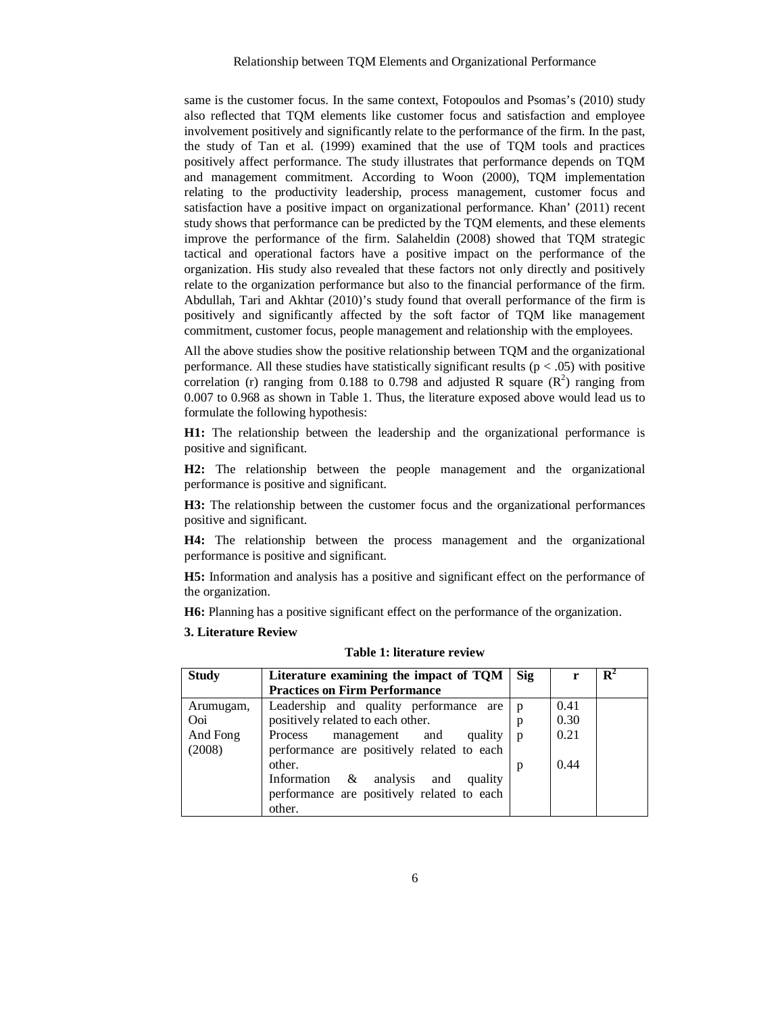same is the customer focus. In the same context, Fotopoulos and Psomas's (2010) study also reflected that TQM elements like customer focus and satisfaction and employee involvement positively and significantly relate to the performance of the firm. In the past, the study of Tan et al. (1999) examined that the use of TQM tools and practices positively affect performance. The study illustrates that performance depends on TQM and management commitment. According to Woon (2000), TQM implementation relating to the productivity leadership, process management, customer focus and satisfaction have a positive impact on organizational performance. Khan' (2011) recent study shows that performance can be predicted by the TQM elements, and these elements improve the performance of the firm. Salaheldin (2008) showed that TQM strategic tactical and operational factors have a positive impact on the performance of the organization. His study also revealed that these factors not only directly and positively relate to the organization performance but also to the financial performance of the firm. Abdullah, Tari and Akhtar (2010)'s study found that overall performance of the firm is positively and significantly affected by the soft factor of TQM like management commitment, customer focus, people management and relationship with the employees.

All the above studies show the positive relationship between TQM and the organizational performance. All these studies have statistically significant results ( $p < .05$ ) with positive correlation (r) ranging from 0.188 to 0.798 and adjusted R square  $(R^2)$  ranging from 0.007 to 0.968 as shown in Table 1. Thus, the literature exposed above would lead us to formulate the following hypothesis:

**H1:** The relationship between the leadership and the organizational performance is positive and significant.

**H2:** The relationship between the people management and the organizational performance is positive and significant.

**H3:** The relationship between the customer focus and the organizational performances positive and significant.

**H4:** The relationship between the process management and the organizational performance is positive and significant.

**H5:** Information and analysis has a positive and significant effect on the performance of the organization.

**H6:** Planning has a positive significant effect on the performance of the organization.

## **3. Literature Review**

| <b>Study</b> | Literature examining the impact of TQM     | <b>Sig</b>   |      | $\mathbf{R}^4$ |
|--------------|--------------------------------------------|--------------|------|----------------|
|              | <b>Practices on Firm Performance</b>       |              |      |                |
| Arumugam,    | Leadership and quality performance are     | <sup>p</sup> | 0.41 |                |
| Ooi          | positively related to each other.          | p            | 0.30 |                |
| And Fong     | Process<br>management and<br>quality       | p            | 0.21 |                |
| (2008)       | performance are positively related to each |              |      |                |
|              | other.                                     | p            | 0.44 |                |
|              | Information & analysis<br>and<br>quality   |              |      |                |
|              | performance are positively related to each |              |      |                |
|              | other.                                     |              |      |                |

# **Table 1: literature review**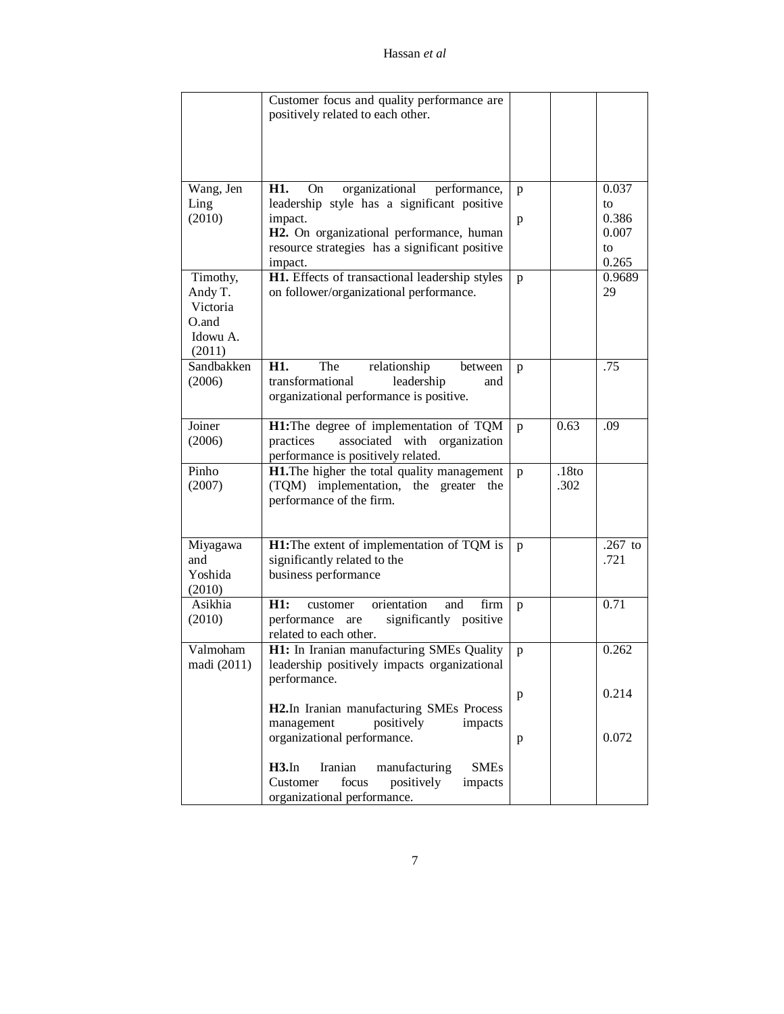|             | Customer focus and quality performance are           |              |                   |           |
|-------------|------------------------------------------------------|--------------|-------------------|-----------|
|             | positively related to each other.                    |              |                   |           |
|             |                                                      |              |                   |           |
|             |                                                      |              |                   |           |
|             |                                                      |              |                   |           |
|             |                                                      |              |                   |           |
| Wang, Jen   | H1.<br>organizational performance,<br>On             | p            |                   | 0.037     |
| Ling        | leadership style has a significant positive          |              |                   | to        |
| (2010)      | impact.                                              | p            |                   | 0.386     |
|             | H2. On organizational performance, human             |              |                   | 0.007     |
|             | resource strategies has a significant positive       |              |                   | to        |
|             | impact.                                              |              |                   | 0.265     |
| Timothy,    | H1. Effects of transactional leadership styles       | p            |                   | 0.9689    |
| Andy T.     | on follower/organizational performance.              |              |                   | 29        |
| Victoria    |                                                      |              |                   |           |
| O.and       |                                                      |              |                   |           |
| Idowu A.    |                                                      |              |                   |           |
| (2011)      |                                                      |              |                   |           |
| Sandbakken  | H1.<br>The<br>relationship<br>between                | p            |                   | .75       |
| (2006)      | transformational<br>leadership<br>and                |              |                   |           |
|             | organizational performance is positive.              |              |                   |           |
|             |                                                      |              |                   |           |
| Joiner      | H1: The degree of implementation of TQM              | p            | 0.63              | .09       |
| (2006)      | practices<br>associated with<br>organization         |              |                   |           |
|             | performance is positively related.                   |              |                   |           |
| Pinho       | H1. The higher the total quality management          | p            | .18 <sub>to</sub> |           |
| (2007)      | (TQM) implementation, the greater<br>the             |              | .302              |           |
|             | performance of the firm.                             |              |                   |           |
|             |                                                      |              |                   |           |
|             |                                                      |              |                   |           |
| Miyagawa    | H1: The extent of implementation of TQM is           | p            |                   | $.267$ to |
| and         | significantly related to the                         |              |                   | .721      |
| Yoshida     | business performance                                 |              |                   |           |
| (2010)      |                                                      |              |                   |           |
| Asikhia     | H1:<br>orientation<br>and<br>firm<br>customer        | p            |                   | 0.71      |
| (2010)      | significantly positive<br>performance are            |              |                   |           |
|             | related to each other.                               |              |                   |           |
| Valmoham    | H1: In Iranian manufacturing SMEs Quality            | p            |                   | 0.262     |
| madi (2011) | leadership positively impacts organizational         |              |                   |           |
|             | performance.                                         |              |                   |           |
|             |                                                      | $\, {\bf p}$ |                   | 0.214     |
|             | H2.In Iranian manufacturing SMEs Process             |              |                   |           |
|             | management<br>positively<br>impacts                  |              |                   |           |
|             | organizational performance.                          | p            |                   | 0.072     |
|             |                                                      |              |                   |           |
|             | $H3$ . In<br>Iranian<br>manufacturing<br><b>SMEs</b> |              |                   |           |
|             | Customer<br>focus<br>positively<br>impacts           |              |                   |           |
|             | organizational performance.                          |              |                   |           |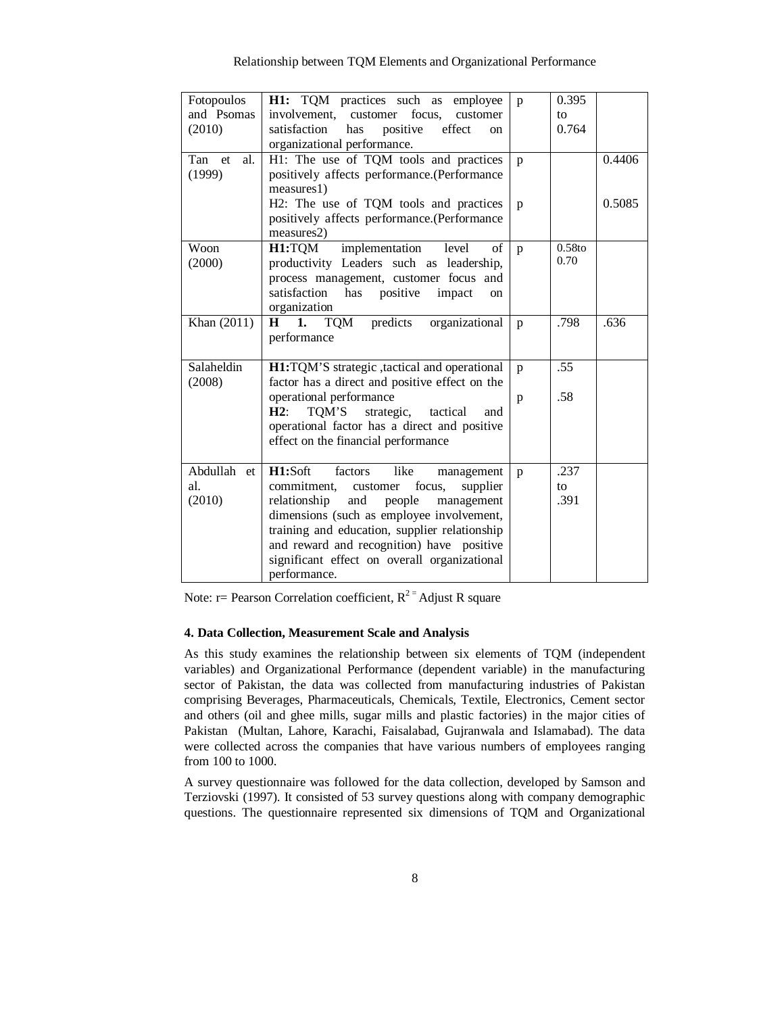| Fotopoulos       | H1: TQM practices such as<br>employee               | p            | 0.395  |        |
|------------------|-----------------------------------------------------|--------------|--------|--------|
| and Psomas       | involvement, customer focus,<br>customer            |              | to     |        |
| (2010)           | positive<br>satisfaction<br>has<br>effect<br>on     |              | 0.764  |        |
|                  | organizational performance.                         |              |        |        |
| Tan<br>et<br>al. | H1: The use of TQM tools and practices              | p            |        | 0.4406 |
| (1999)           | positively affects performance.(Performance         |              |        |        |
|                  | measures1)                                          |              |        |        |
|                  | H2: The use of TQM tools and practices              | p            |        | 0.5085 |
|                  | positively affects performance.(Performance         |              |        |        |
|                  | measures2)                                          |              |        |        |
| Woon             | H1:TQM<br>implementation<br>level<br>of             | $\mathbf{p}$ | 0.58to |        |
| (2000)           | productivity Leaders such as leadership,            |              | 0.70   |        |
|                  | process management, customer focus and              |              |        |        |
|                  | satisfaction<br>has<br>positive<br>impact<br>on     |              |        |        |
|                  | organization                                        |              |        |        |
| Khan (2011)      | <b>TOM</b><br>organizational<br>predicts<br>H<br>1. | $\mathbf{p}$ | .798   | .636   |
|                  | performance                                         |              |        |        |
|                  |                                                     |              |        |        |
| Salaheldin       | H1:TQM'S strategic ,tactical and operational        | $\mathbf{p}$ | .55    |        |
| (2008)           | factor has a direct and positive effect on the      |              |        |        |
|                  | operational performance                             | p            | .58    |        |
|                  | H2:<br>TQM'S<br>strategic,<br>tactical<br>and       |              |        |        |
|                  | operational factor has a direct and positive        |              |        |        |
|                  | effect on the financial performance                 |              |        |        |
|                  |                                                     |              |        |        |
| Abdullah et      | H1:Soft<br>factors<br>like<br>management            | p            | .237   |        |
| al.              | commitment, customer<br>focus,<br>supplier          |              | to     |        |
| (2010)           | people<br>relationship<br>and<br>management         |              | .391   |        |
|                  | dimensions (such as employee involvement,           |              |        |        |
|                  | training and education, supplier relationship       |              |        |        |
|                  | and reward and recognition) have positive           |              |        |        |
|                  | significant effect on overall organizational        |              |        |        |
|                  | performance.                                        |              |        |        |

Note: r= Pearson Correlation coefficient,  $R^{2}$ <sup>=</sup> Adjust R square

# **4. Data Collection, Measurement Scale and Analysis**

As this study examines the relationship between six elements of TQM (independent variables) and Organizational Performance (dependent variable) in the manufacturing sector of Pakistan, the data was collected from manufacturing industries of Pakistan comprising Beverages, Pharmaceuticals, Chemicals, Textile, Electronics, Cement sector and others (oil and ghee mills, sugar mills and plastic factories) in the major cities of Pakistan (Multan, Lahore, Karachi, Faisalabad, Gujranwala and Islamabad). The data were collected across the companies that have various numbers of employees ranging from 100 to 1000.

A survey questionnaire was followed for the data collection, developed by Samson and Terziovski (1997). It consisted of 53 survey questions along with company demographic questions. The questionnaire represented six dimensions of TQM and Organizational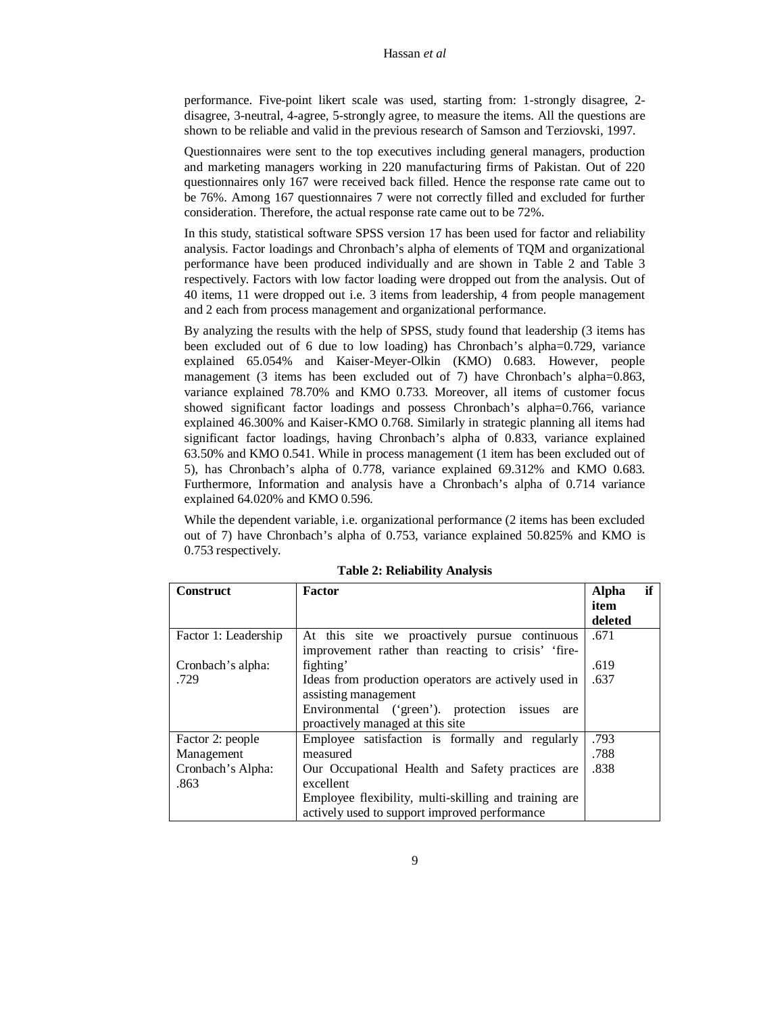performance. Five-point likert scale was used, starting from: 1-strongly disagree, 2 disagree, 3-neutral, 4-agree, 5-strongly agree, to measure the items. All the questions are shown to be reliable and valid in the previous research of Samson and Terziovski, 1997.

Questionnaires were sent to the top executives including general managers, production and marketing managers working in 220 manufacturing firms of Pakistan. Out of 220 questionnaires only 167 were received back filled. Hence the response rate came out to be 76%. Among 167 questionnaires 7 were not correctly filled and excluded for further consideration. Therefore, the actual response rate came out to be 72%.

In this study, statistical software SPSS version 17 has been used for factor and reliability analysis. Factor loadings and Chronbach's alpha of elements of TQM and organizational performance have been produced individually and are shown in Table 2 and Table 3 respectively. Factors with low factor loading were dropped out from the analysis. Out of 40 items, 11 were dropped out i.e. 3 items from leadership, 4 from people management and 2 each from process management and organizational performance.

By analyzing the results with the help of SPSS, study found that leadership (3 items has been excluded out of 6 due to low loading) has Chronbach's alpha=0.729, variance explained 65.054% and Kaiser-Meyer-Olkin (KMO) 0.683. However, people management (3 items has been excluded out of 7) have Chronbach's alpha=0.863, variance explained 78.70% and KMO 0.733. Moreover, all items of customer focus showed significant factor loadings and possess Chronbach's alpha=0.766, variance explained 46.300% and Kaiser-KMO 0.768. Similarly in strategic planning all items had significant factor loadings, having Chronbach's alpha of 0.833, variance explained 63.50% and KMO 0.541. While in process management (1 item has been excluded out of 5), has Chronbach's alpha of 0.778, variance explained 69.312% and KMO 0.683. Furthermore, Information and analysis have a Chronbach's alpha of 0.714 variance explained 64.020% and KMO 0.596.

While the dependent variable, i.e. organizational performance (2 items has been excluded out of 7) have Chronbach's alpha of 0.753, variance explained 50.825% and KMO is 0.753 respectively.

| <b>Construct</b>     | <b>Factor</b>                                         | <b>Alpha</b> | if |
|----------------------|-------------------------------------------------------|--------------|----|
|                      |                                                       | item         |    |
|                      |                                                       | deleted      |    |
| Factor 1: Leadership | At this site we proactively pursue continuous         | .671         |    |
|                      | improvement rather than reacting to crisis' 'fire-    |              |    |
| Cronbach's alpha:    | fighting'                                             | .619         |    |
| .729                 | Ideas from production operators are actively used in  | .637         |    |
|                      | assisting management                                  |              |    |
|                      | Environmental ('green'). protection issues<br>are     |              |    |
|                      | proactively managed at this site                      |              |    |
| Factor 2: people     | Employee satisfaction is formally and regularly       | .793         |    |
| Management           | measured                                              | .788         |    |
| Cronbach's Alpha:    | Our Occupational Health and Safety practices are      | .838         |    |
| .863                 | excellent                                             |              |    |
|                      | Employee flexibility, multi-skilling and training are |              |    |
|                      | actively used to support improved performance         |              |    |

**Table 2: Reliability Analysis**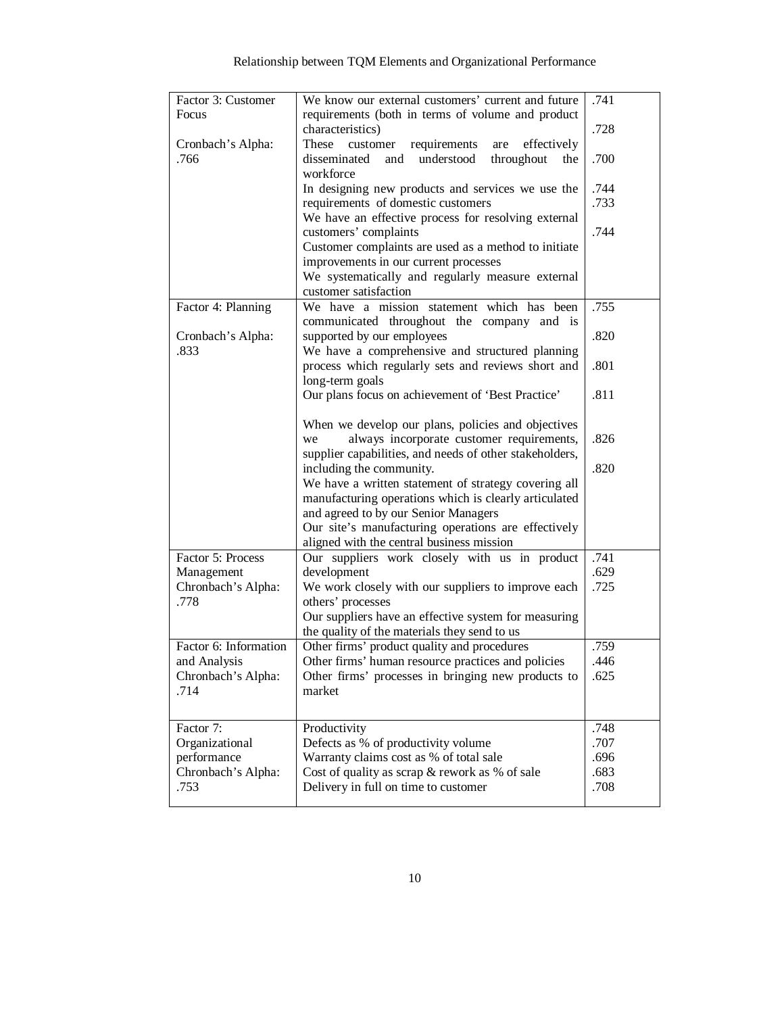| Factor 3: Customer    | We know our external customers' current and future           | .741 |
|-----------------------|--------------------------------------------------------------|------|
| Focus                 | requirements (both in terms of volume and product            |      |
|                       | characteristics)                                             | .728 |
| Cronbach's Alpha:     | These<br>customer<br>requirements<br>effectively<br>are      |      |
| .766                  | understood<br>disseminated<br>and<br>throughout<br>the       | .700 |
|                       | workforce                                                    |      |
|                       | In designing new products and services we use the            | .744 |
|                       | requirements of domestic customers                           | .733 |
|                       | We have an effective process for resolving external          |      |
|                       | customers' complaints                                        | .744 |
|                       | Customer complaints are used as a method to initiate         |      |
|                       | improvements in our current processes                        |      |
|                       | We systematically and regularly measure external             |      |
|                       | customer satisfaction                                        |      |
| Factor 4: Planning    | We have a mission statement which has been                   | .755 |
|                       | communicated throughout the company and is                   |      |
| Cronbach's Alpha:     | supported by our employees                                   | .820 |
| .833                  | We have a comprehensive and structured planning              |      |
|                       | process which regularly sets and reviews short and           | .801 |
|                       | long-term goals                                              |      |
|                       | Our plans focus on achievement of 'Best Practice'            | .811 |
|                       |                                                              |      |
|                       | When we develop our plans, policies and objectives           |      |
|                       | always incorporate customer requirements,<br>we              | .826 |
|                       | supplier capabilities, and needs of other stakeholders,      |      |
|                       | including the community.                                     | .820 |
|                       | We have a written statement of strategy covering all         |      |
|                       | manufacturing operations which is clearly articulated        |      |
|                       | and agreed to by our Senior Managers                         |      |
|                       | Our site's manufacturing operations are effectively          |      |
| Factor 5: Process     | aligned with the central business mission                    | .741 |
| Management            | Our suppliers work closely with us in product<br>development | .629 |
| Chronbach's Alpha:    | We work closely with our suppliers to improve each           | .725 |
| .778                  | others' processes                                            |      |
|                       | Our suppliers have an effective system for measuring         |      |
|                       | the quality of the materials they send to us                 |      |
| Factor 6: Information | Other firms' product quality and procedures                  | .759 |
| and Analysis          | Other firms' human resource practices and policies           | .446 |
| Chronbach's Alpha:    | Other firms' processes in bringing new products to           | .625 |
| .714                  | market                                                       |      |
|                       |                                                              |      |
|                       |                                                              |      |
| Factor 7:             | Productivity                                                 | .748 |
| Organizational        | Defects as % of productivity volume                          | .707 |
| performance           | Warranty claims cost as % of total sale                      | .696 |
| Chronbach's Alpha:    | Cost of quality as scrap & rework as % of sale               | .683 |
| .753                  | Delivery in full on time to customer                         | .708 |
|                       |                                                              |      |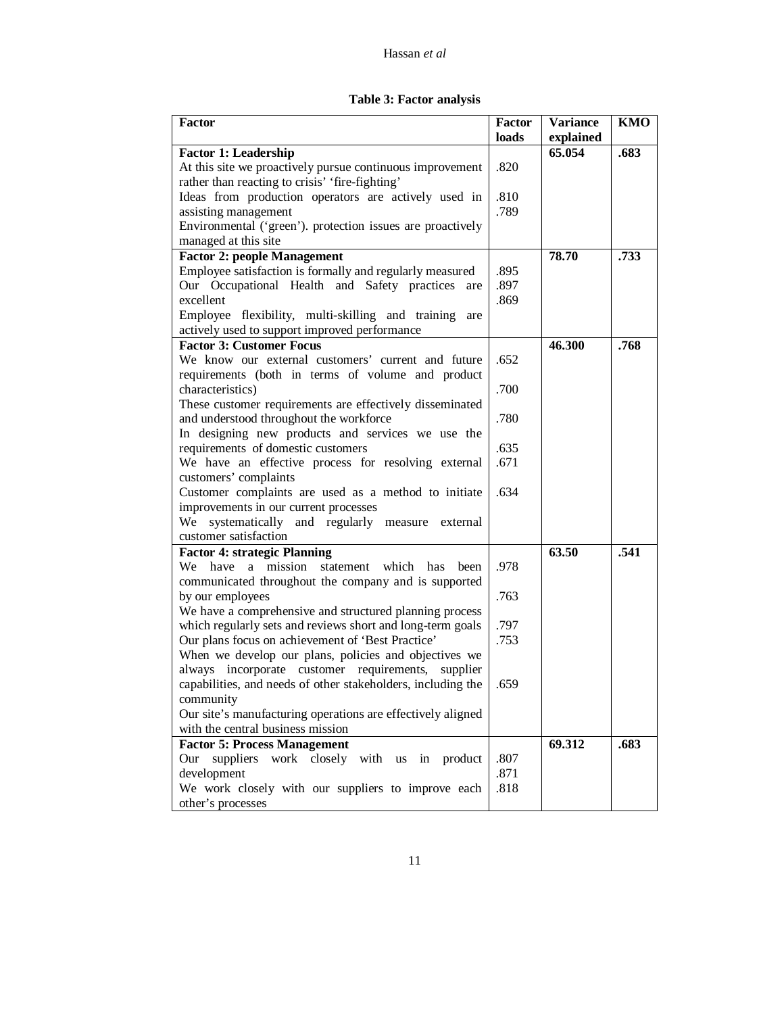| Table 3: Factor analysis |  |  |  |  |
|--------------------------|--|--|--|--|
|--------------------------|--|--|--|--|

| Factor                                                       | <b>Factor</b> | <b>Variance</b> | <b>KMO</b> |
|--------------------------------------------------------------|---------------|-----------------|------------|
|                                                              | loads         | explained       |            |
| <b>Factor 1: Leadership</b>                                  |               | 65.054          | .683       |
| At this site we proactively pursue continuous improvement    | .820          |                 |            |
| rather than reacting to crisis' 'fire-fighting'              |               |                 |            |
| Ideas from production operators are actively used in         | .810          |                 |            |
| assisting management                                         | .789          |                 |            |
| Environmental ('green'). protection issues are proactively   |               |                 |            |
| managed at this site                                         |               |                 |            |
| <b>Factor 2: people Management</b>                           |               | 78.70           | .733       |
| Employee satisfaction is formally and regularly measured     | .895          |                 |            |
| Our Occupational Health and Safety practices are             | .897          |                 |            |
| excellent                                                    | .869          |                 |            |
| Employee flexibility, multi-skilling and training are        |               |                 |            |
| actively used to support improved performance                |               |                 |            |
| <b>Factor 3: Customer Focus</b>                              |               | 46.300          | .768       |
| We know our external customers' current and future           | .652          |                 |            |
| requirements (both in terms of volume and product            |               |                 |            |
| characteristics)                                             | .700          |                 |            |
| These customer requirements are effectively disseminated     |               |                 |            |
| and understood throughout the workforce                      | .780          |                 |            |
| In designing new products and services we use the            |               |                 |            |
| requirements of domestic customers                           | .635          |                 |            |
| We have an effective process for resolving external          | .671          |                 |            |
| customers' complaints                                        |               |                 |            |
| Customer complaints are used as a method to initiate         | .634          |                 |            |
| improvements in our current processes                        |               |                 |            |
| We<br>systematically and regularly measure<br>external       |               |                 |            |
| customer satisfaction                                        |               |                 |            |
| <b>Factor 4: strategic Planning</b>                          |               | 63.50           | .541       |
| We<br>have<br>a mission statement<br>which<br>has<br>been    | .978          |                 |            |
| communicated throughout the company and is supported         |               |                 |            |
| by our employees                                             | .763          |                 |            |
| We have a comprehensive and structured planning process      |               |                 |            |
| which regularly sets and reviews short and long-term goals   | .797          |                 |            |
| Our plans focus on achievement of 'Best Practice'            | .753          |                 |            |
| When we develop our plans, policies and objectives we        |               |                 |            |
| always incorporate customer requirements, supplier           |               |                 |            |
| capabilities, and needs of other stakeholders, including the | .659          |                 |            |
| community                                                    |               |                 |            |
| Our site's manufacturing operations are effectively aligned  |               |                 |            |
| with the central business mission                            |               |                 |            |
| <b>Factor 5: Process Management</b>                          |               | 69.312          | .683       |
| suppliers work closely with us in product<br>Our             | .807          |                 |            |
| development                                                  | .871          |                 |            |
| We work closely with our suppliers to improve each           | .818          |                 |            |
| other's processes                                            |               |                 |            |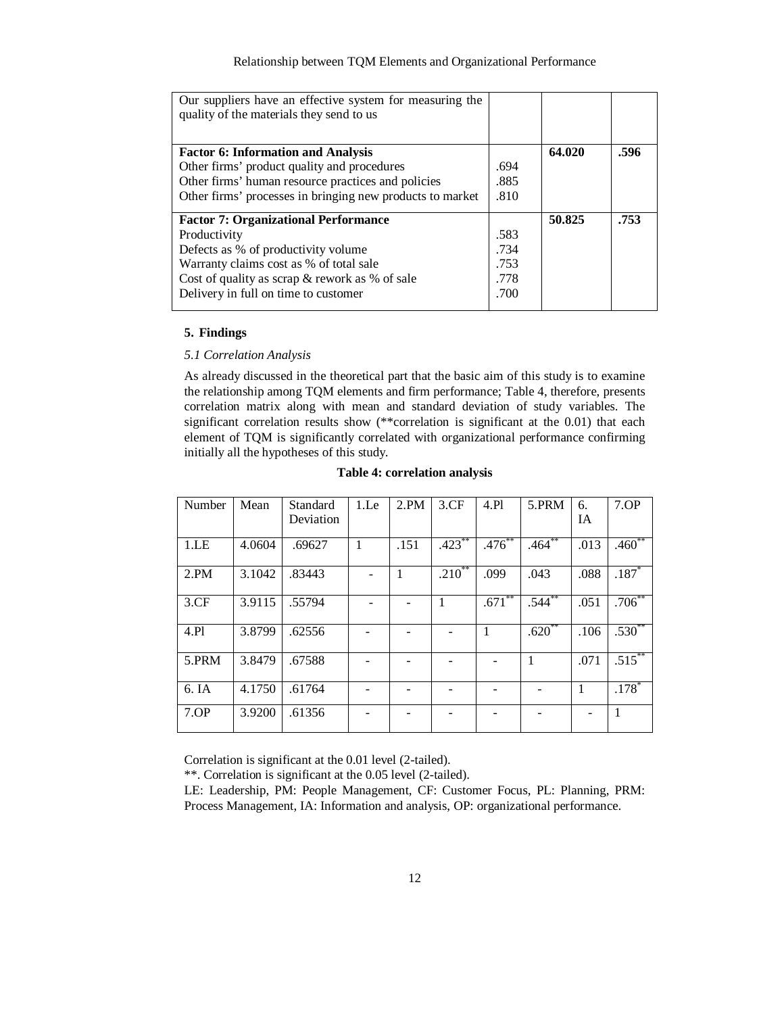| Our suppliers have an effective system for measuring the<br>quality of the materials they send to us |      |        |      |
|------------------------------------------------------------------------------------------------------|------|--------|------|
|                                                                                                      |      |        |      |
|                                                                                                      |      |        |      |
| <b>Factor 6: Information and Analysis</b>                                                            |      | 64.020 | .596 |
| Other firms' product quality and procedures                                                          | .694 |        |      |
| Other firms' human resource practices and policies                                                   | .885 |        |      |
| Other firms' processes in bringing new products to market                                            | .810 |        |      |
|                                                                                                      |      |        |      |
| <b>Factor 7: Organizational Performance</b>                                                          |      | 50.825 | .753 |
| Productivity                                                                                         | .583 |        |      |
| Defects as % of productivity volume                                                                  | .734 |        |      |
| Warranty claims cost as % of total sale                                                              | .753 |        |      |
| Cost of quality as scrap $&$ rework as % of sale                                                     | .778 |        |      |
| Delivery in full on time to customer                                                                 | .700 |        |      |
|                                                                                                      |      |        |      |

# **5. Findings**

## *5.1 Correlation Analysis*

As already discussed in the theoretical part that the basic aim of this study is to examine the relationship among TQM elements and firm performance; Table 4, therefore, presents correlation matrix along with mean and standard deviation of study variables. The significant correlation results show (\*\*correlation is significant at the 0.01) that each element of TQM is significantly correlated with organizational performance confirming initially all the hypotheses of this study.

| Number | Mean   | Standard  | 1 <sub>Le</sub> | 2.PM | 3.CF        | 4.Pl        | 5.PRM        | 6.   | 7.0P      |
|--------|--------|-----------|-----------------|------|-------------|-------------|--------------|------|-----------|
|        |        | Deviation |                 |      |             |             |              | IA   |           |
| 1.EE   | 4.0604 | .69627    | $\mathbf{1}$    | .151 | $.423$ **   | $.476^{**}$ | $.464***$    | .013 | $.460**$  |
| 2.PM   | 3.1042 | .83443    |                 | 1    | $.210^{**}$ | .099        | .043         | .088 | $.187*$   |
| 3.CF   | 3.9115 | .55794    |                 |      | 1           | $.671$ **   | $.544**$     | .051 | $.706***$ |
| 4.P1   | 3.8799 | .62556    |                 |      |             | 1           | $.620**$     | .106 | $.530**$  |
| 5.PRM  | 3.8479 | .67588    |                 |      |             |             | $\mathbf{1}$ | .071 | $.515***$ |
| 6. IA  | 4.1750 | .61764    |                 |      |             |             |              | 1    | $.178*$   |
| 7.0P   | 3.9200 | .61356    |                 |      |             |             |              |      | 1         |

#### **Table 4: correlation analysis**

Correlation is significant at the 0.01 level (2-tailed).

\*\*. Correlation is significant at the 0.05 level (2-tailed).

LE: Leadership, PM: People Management, CF: Customer Focus, PL: Planning, PRM: Process Management, IA: Information and analysis, OP: organizational performance.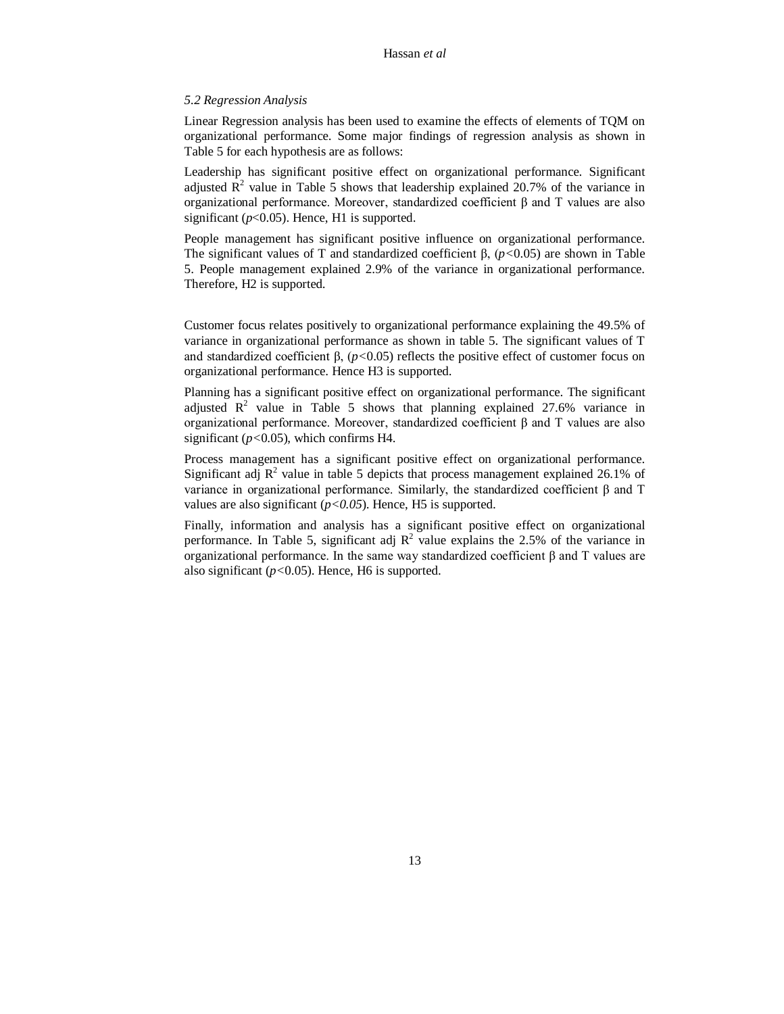# *5.2 Regression Analysis*

Linear Regression analysis has been used to examine the effects of elements of TQM on organizational performance. Some major findings of regression analysis as shown in Table 5 for each hypothesis are as follows:

Leadership has significant positive effect on organizational performance. Significant adjusted  $\mathbb{R}^2$  value in Table 5 shows that leadership explained 20.7% of the variance in organizational performance. Moreover, standardized coefficient β and T values are also significant (*p*<0.05). Hence, H1 is supported.

People management has significant positive influence on organizational performance. The significant values of T and standardized coefficient β,  $(p<0.05)$  are shown in Table 5. People management explained 2.9% of the variance in organizational performance. Therefore, H2 is supported.

Customer focus relates positively to organizational performance explaining the 49.5% of variance in organizational performance as shown in table 5. The significant values of T and standardized coefficient β, (*p<*0.05) reflects the positive effect of customer focus on organizational performance. Hence H3 is supported.

Planning has a significant positive effect on organizational performance. The significant adjusted  $\mathbb{R}^2$  value in Table 5 shows that planning explained 27.6% variance in organizational performance. Moreover, standardized coefficient β and T values are also significant (*p<*0.05), which confirms H4.

Process management has a significant positive effect on organizational performance. Significant adj  $R^2$  value in table 5 depicts that process management explained 26.1% of variance in organizational performance. Similarly, the standardized coefficient β and T values are also significant  $(p<0.05)$ . Hence, H5 is supported.

Finally, information and analysis has a significant positive effect on organizational performance. In Table 5, significant adj  $R^2$  value explains the 2.5% of the variance in organizational performance. In the same way standardized coefficient β and T values are also significant (*p<*0.05). Hence, H6 is supported.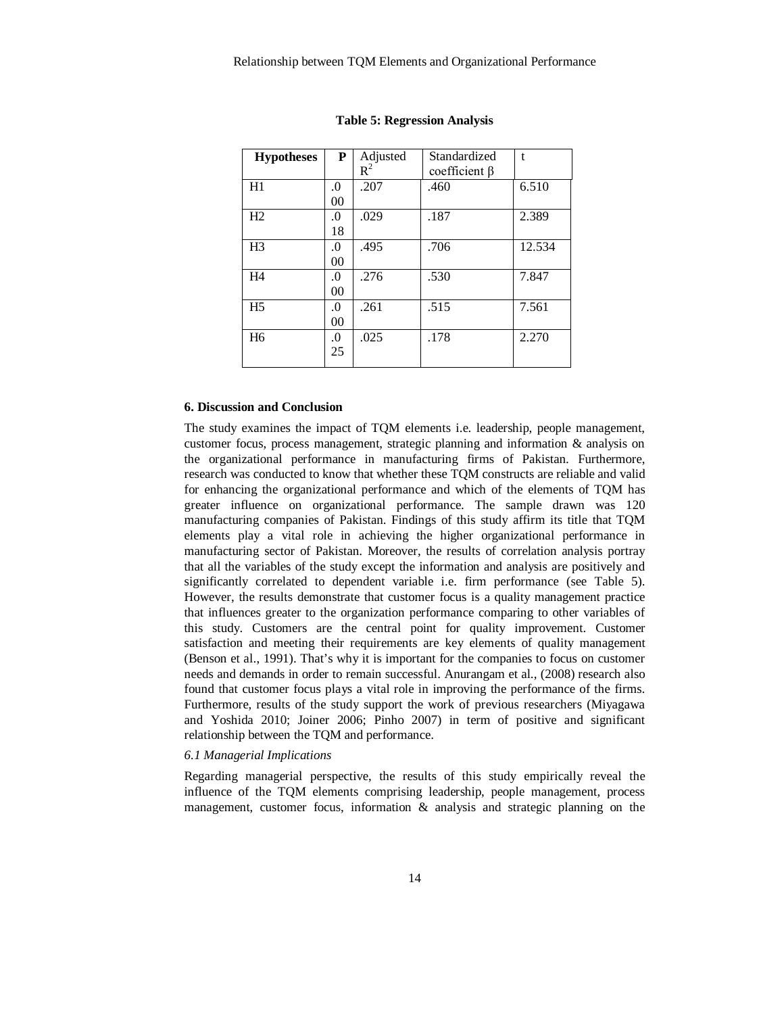| <b>Hypotheses</b> | P              | Adjusted | Standardized        | t      |
|-------------------|----------------|----------|---------------------|--------|
|                   |                | $R^2$    | coefficient $\beta$ |        |
| H1                | .0             | .207     | .460                | 6.510  |
|                   | 0 <sub>0</sub> |          |                     |        |
| H2                | $\Omega$ .     | .029     | .187                | 2.389  |
|                   | 18             |          |                     |        |
| H <sub>3</sub>    | .0             | .495     | .706                | 12.534 |
|                   | 00             |          |                     |        |
| H4                | .0             | .276     | .530                | 7.847  |
|                   | 00             |          |                     |        |
| H <sub>5</sub>    | .0             | .261     | .515                | 7.561  |
|                   | 0 <sub>0</sub> |          |                     |        |
| H <sub>6</sub>    | $\Omega$ .     | .025     | .178                | 2.270  |
|                   | 25             |          |                     |        |
|                   |                |          |                     |        |

#### **Table 5: Regression Analysis**

#### **6. Discussion and Conclusion**

The study examines the impact of TQM elements i.e. leadership, people management, customer focus, process management, strategic planning and information & analysis on the organizational performance in manufacturing firms of Pakistan. Furthermore, research was conducted to know that whether these TQM constructs are reliable and valid for enhancing the organizational performance and which of the elements of TQM has greater influence on organizational performance. The sample drawn was 120 manufacturing companies of Pakistan. Findings of this study affirm its title that TQM elements play a vital role in achieving the higher organizational performance in manufacturing sector of Pakistan. Moreover, the results of correlation analysis portray that all the variables of the study except the information and analysis are positively and significantly correlated to dependent variable i.e. firm performance (see Table 5). However, the results demonstrate that customer focus is a quality management practice that influences greater to the organization performance comparing to other variables of this study. Customers are the central point for quality improvement. Customer satisfaction and meeting their requirements are key elements of quality management (Benson et al., 1991). That's why it is important for the companies to focus on customer needs and demands in order to remain successful. Anurangam et al., (2008) research also found that customer focus plays a vital role in improving the performance of the firms. Furthermore, results of the study support the work of previous researchers (Miyagawa and Yoshida 2010; Joiner 2006; Pinho 2007) in term of positive and significant relationship between the TQM and performance.

# *6.1 Managerial Implications*

Regarding managerial perspective, the results of this study empirically reveal the influence of the TQM elements comprising leadership, people management, process management, customer focus, information & analysis and strategic planning on the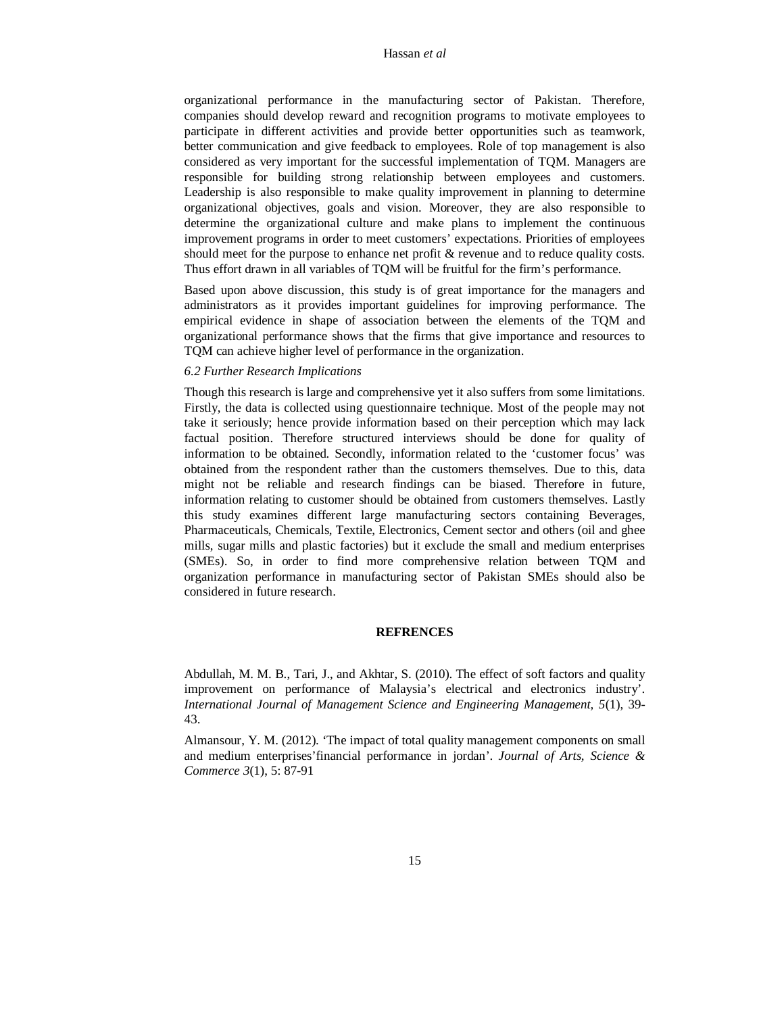organizational performance in the manufacturing sector of Pakistan. Therefore, companies should develop reward and recognition programs to motivate employees to participate in different activities and provide better opportunities such as teamwork, better communication and give feedback to employees. Role of top management is also considered as very important for the successful implementation of TQM. Managers are responsible for building strong relationship between employees and customers. Leadership is also responsible to make quality improvement in planning to determine organizational objectives, goals and vision. Moreover, they are also responsible to determine the organizational culture and make plans to implement the continuous improvement programs in order to meet customers' expectations. Priorities of employees should meet for the purpose to enhance net profit & revenue and to reduce quality costs. Thus effort drawn in all variables of TQM will be fruitful for the firm's performance.

Based upon above discussion, this study is of great importance for the managers and administrators as it provides important guidelines for improving performance. The empirical evidence in shape of association between the elements of the TQM and organizational performance shows that the firms that give importance and resources to TQM can achieve higher level of performance in the organization.

# *6.2 Further Research Implications*

Though this research is large and comprehensive yet it also suffers from some limitations. Firstly, the data is collected using questionnaire technique. Most of the people may not take it seriously; hence provide information based on their perception which may lack factual position. Therefore structured interviews should be done for quality of information to be obtained. Secondly, information related to the 'customer focus' was obtained from the respondent rather than the customers themselves. Due to this, data might not be reliable and research findings can be biased. Therefore in future, information relating to customer should be obtained from customers themselves. Lastly this study examines different large manufacturing sectors containing Beverages, Pharmaceuticals, Chemicals, Textile, Electronics, Cement sector and others (oil and ghee mills, sugar mills and plastic factories) but it exclude the small and medium enterprises (SMEs). So, in order to find more comprehensive relation between TQM and organization performance in manufacturing sector of Pakistan SMEs should also be considered in future research.

#### **REFRENCES**

Abdullah, M. M. B., Tari, J., and Akhtar, S. (2010). The effect of soft factors and quality improvement on performance of Malaysia's electrical and electronics industry'. *International Journal of Management Science and Engineering Management, 5*(1), 39- 43.

Almansour, Y. M. (2012). 'The impact of total quality management components on small and medium enterprises'financial performance in jordan'. *Journal of Arts, Science & Commerce 3*(1), 5: 87-91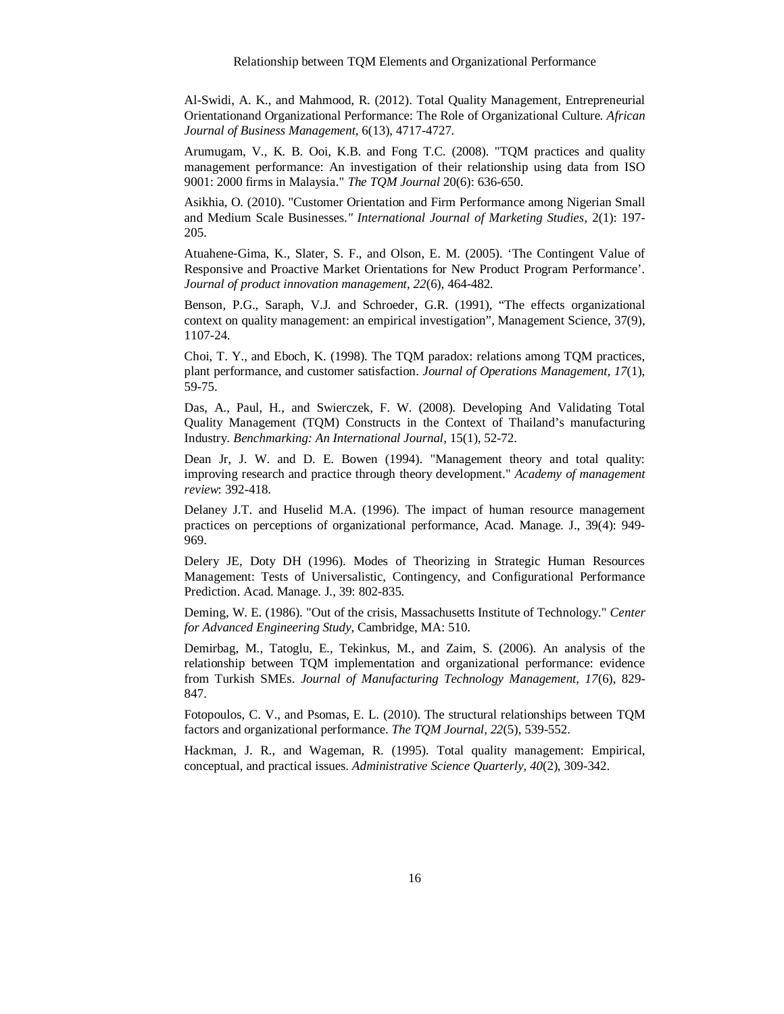Al-Swidi, A. K., and Mahmood, R. (2012). Total Quality Management, Entrepreneurial Orientationand Organizational Performance: The Role of Organizational Culture. *African Journal of Business Management*, 6(13), 4717-4727.

Arumugam, V., K. B. Ooi, K.B. and Fong T.C. (2008). "TQM practices and quality management performance: An investigation of their relationship using data from ISO 9001: 2000 firms in Malaysia." *The TQM Journal* 20(6): 636-650.

Asikhia, O. (2010). "Customer Orientation and Firm Performance among Nigerian Small and Medium Scale Businesses.*" International Journal of Marketing Studies*, 2(1): 197- 205.

Atuahene‐Gima, K., Slater, S. F., and Olson, E. M. (2005). 'The Contingent Value of Responsive and Proactive Market Orientations for New Product Program Performance'. *Journal of product innovation management, 22*(6), 464-482.

Benson, P.G., Saraph, V.J. and Schroeder, G.R. (1991), "The effects organizational context on quality management: an empirical investigation", Management Science, 37(9), 1107-24.

Choi, T. Y., and Eboch, K. (1998). The TQM paradox: relations among TQM practices, plant performance, and customer satisfaction. *Journal of Operations Management, 17*(1), 59-75.

Das, A., Paul, H., and Swierczek, F. W. (2008). Developing And Validating Total Quality Management (TQM) Constructs in the Context of Thailand's manufacturing Industry. *Benchmarking: An International Journal*, 15(1), 52-72.

Dean Jr, J. W. and D. E. Bowen (1994). "Management theory and total quality: improving research and practice through theory development." *Academy of management review*: 392-418.

Delaney J.T. and Huselid M.A. (1996). The impact of human resource management practices on perceptions of organizational performance, Acad. Manage. J., 39(4): 949- 969.

Delery JE, Doty DH (1996). Modes of Theorizing in Strategic Human Resources Management: Tests of Universalistic, Contingency, and Configurational Performance Prediction. Acad. Manage. J., 39: 802-835.

Deming, W. E. (1986). "Out of the crisis, Massachusetts Institute of Technology." *Center for Advanced Engineering Study*, Cambridge, MA: 510.

Demirbag, M., Tatoglu, E., Tekinkus, M., and Zaim, S. (2006). An analysis of the relationship between TQM implementation and organizational performance: evidence from Turkish SMEs. *Journal of Manufacturing Technology Management, 17*(6), 829- 847.

Fotopoulos, C. V., and Psomas, E. L. (2010). The structural relationships between TQM factors and organizational performance. *The TQM Journal, 22*(5), 539-552.

Hackman, J. R., and Wageman, R. (1995). Total quality management: Empirical, conceptual, and practical issues. *Administrative Science Quarterly, 40*(2), 309-342.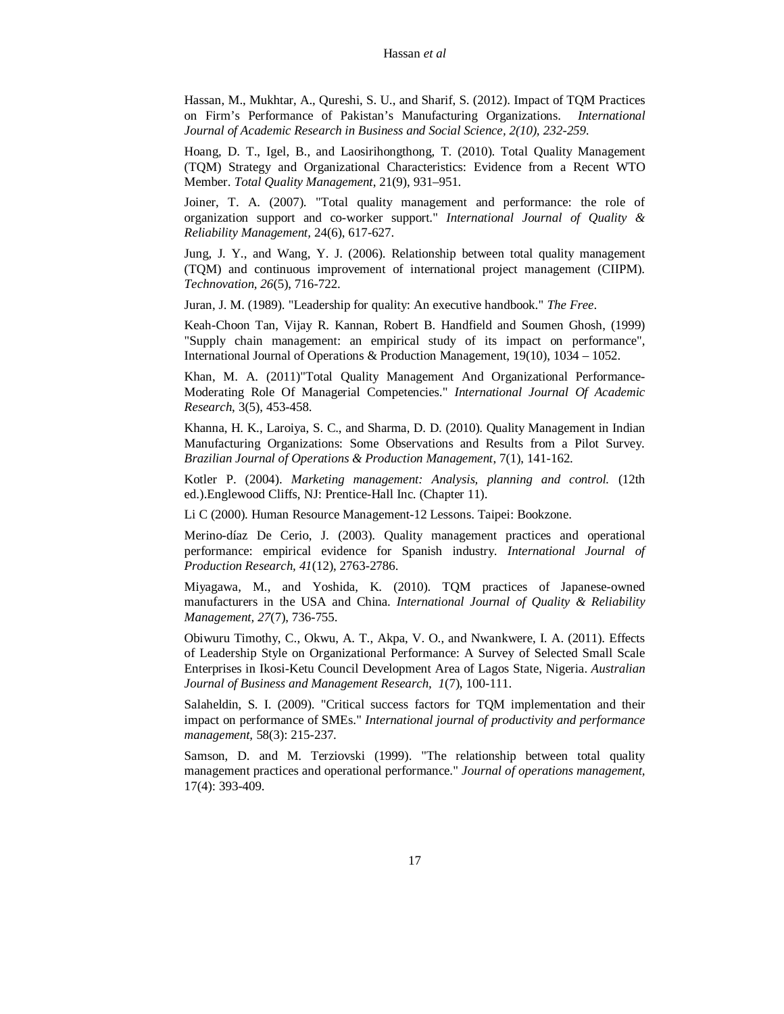Hassan, M., Mukhtar, A., Qureshi, S. U., and Sharif, S. (2012). Impact of TQM Practices on Firm's Performance of Pakistan's Manufacturing Organizations. *International Journal of Academic Research in Business and Social Science, 2(10), 232-259.*

Hoang, D. T., Igel, B., and Laosirihongthong, T. (2010). Total Quality Management (TQM) Strategy and Organizational Characteristics: Evidence from a Recent WTO Member. *Total Quality Management*, 21(9), 931–951.

Joiner, T. A. (2007). "Total quality management and performance: the role of organization support and co-worker support." *International Journal of Quality & Reliability Management,* 24(6), 617-627.

Jung, J. Y., and Wang, Y. J. (2006). Relationship between total quality management (TQM) and continuous improvement of international project management (CIIPM). *Technovation, 26*(5), 716-722.

Juran, J. M. (1989). "Leadership for quality: An executive handbook." *The Free*.

Keah-Choon Tan, Vijay R. Kannan, Robert B. Handfield and Soumen Ghosh, (1999) "Supply chain management: an empirical study of its impact on performance", International Journal of Operations & Production Management, 19(10), 1034 – 1052.

Khan, M. A. (2011)"Total Quality Management And Organizational Performance-Moderating Role Of Managerial Competencies." *International Journal Of Academic Research*, 3(5), 453-458.

Khanna, H. K., Laroiya, S. C., and Sharma, D. D. (2010). Quality Management in Indian Manufacturing Organizations: Some Observations and Results from a Pilot Survey. *Brazilian Journal of Operations & Production Management*, 7(1), 141-162.

Kotler P. (2004). *Marketing management: Analysis, planning and control.* (12th ed.).Englewood Cliffs, NJ: Prentice-Hall Inc. (Chapter 11).

Li C (2000). Human Resource Management-12 Lessons. Taipei: Bookzone.

Merino-díaz De Cerio, J. (2003). Quality management practices and operational performance: empirical evidence for Spanish industry. *International Journal of Production Research, 41*(12), 2763-2786.

Miyagawa, M., and Yoshida, K. (2010). TQM practices of Japanese-owned manufacturers in the USA and China. *International Journal of Quality & Reliability Management, 27*(7), 736-755.

Obiwuru Timothy, C., Okwu, A. T., Akpa, V. O., and Nwankwere, I. A. (2011). Effects of Leadership Style on Organizational Performance: A Survey of Selected Small Scale Enterprises in Ikosi-Ketu Council Development Area of Lagos State, Nigeria. *Australian Journal of Business and Management Research, 1*(7), 100-111.

Salaheldin, S. I. (2009). "Critical success factors for TQM implementation and their impact on performance of SMEs." *International journal of productivity and performance management,* 58(3): 215-237.

Samson, D. and M. Terziovski (1999). "The relationship between total quality management practices and operational performance." *Journal of operations management,* 17(4): 393-409.